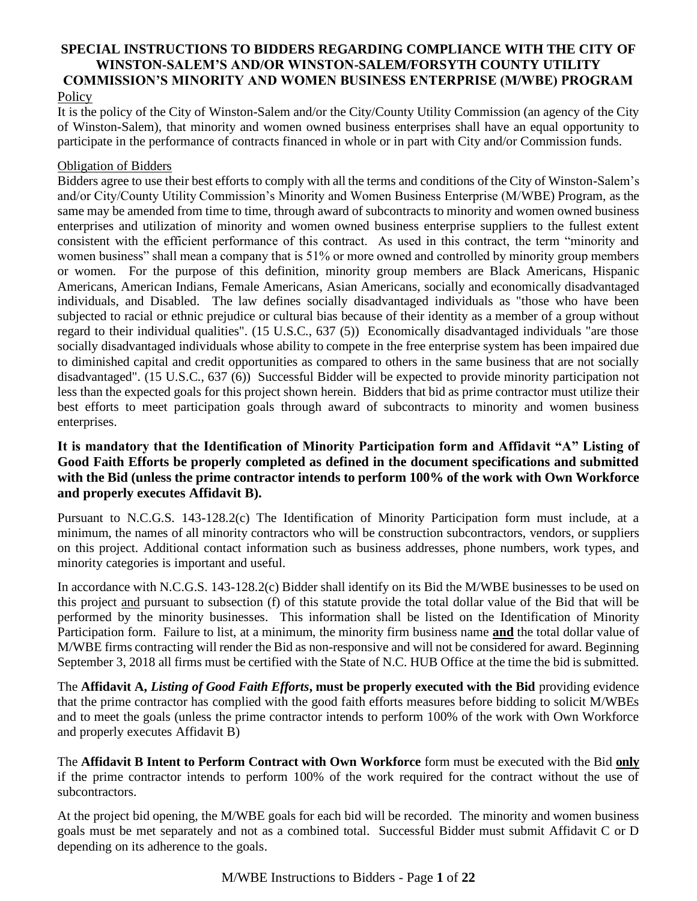#### **SPECIAL INSTRUCTIONS TO BIDDERS REGARDING COMPLIANCE WITH THE CITY OF WINSTON-SALEM'S AND/OR WINSTON-SALEM/FORSYTH COUNTY UTILITY COMMISSION'S MINORITY AND WOMEN BUSINESS ENTERPRISE (M/WBE) PROGRAM Policy**

It is the policy of the City of Winston-Salem and/or the City/County Utility Commission (an agency of the City of Winston-Salem), that minority and women owned business enterprises shall have an equal opportunity to participate in the performance of contracts financed in whole or in part with City and/or Commission funds.

#### Obligation of Bidders

Bidders agree to use their best efforts to comply with all the terms and conditions of the City of Winston-Salem's and/or City/County Utility Commission's Minority and Women Business Enterprise (M/WBE) Program, as the same may be amended from time to time, through award of subcontracts to minority and women owned business enterprises and utilization of minority and women owned business enterprise suppliers to the fullest extent consistent with the efficient performance of this contract. As used in this contract, the term "minority and women business" shall mean a company that is 51% or more owned and controlled by minority group members or women. For the purpose of this definition, minority group members are Black Americans, Hispanic Americans, American Indians, Female Americans, Asian Americans, socially and economically disadvantaged individuals, and Disabled. The law defines socially disadvantaged individuals as "those who have been subjected to racial or ethnic prejudice or cultural bias because of their identity as a member of a group without regard to their individual qualities". (15 U.S.C., 637 (5)) Economically disadvantaged individuals "are those socially disadvantaged individuals whose ability to compete in the free enterprise system has been impaired due to diminished capital and credit opportunities as compared to others in the same business that are not socially disadvantaged". (15 U.S.C., 637 (6)) Successful Bidder will be expected to provide minority participation not less than the expected goals for this project shown herein. Bidders that bid as prime contractor must utilize their best efforts to meet participation goals through award of subcontracts to minority and women business enterprises.

### **It is mandatory that the Identification of Minority Participation form and Affidavit "A" Listing of Good Faith Efforts be properly completed as defined in the document specifications and submitted with the Bid (unless the prime contractor intends to perform 100% of the work with Own Workforce and properly executes Affidavit B).**

Pursuant to N.C.G.S. 143-128.2(c) The Identification of Minority Participation form must include, at a minimum, the names of all minority contractors who will be construction subcontractors, vendors, or suppliers on this project. Additional contact information such as business addresses, phone numbers, work types, and minority categories is important and useful.

In accordance with N.C.G.S. 143-128.2(c) Bidder shall identify on its Bid the M/WBE businesses to be used on this project and pursuant to subsection (f) of this statute provide the total dollar value of the Bid that will be performed by the minority businesses. This information shall be listed on the Identification of Minority Participation form. Failure to list, at a minimum, the minority firm business name **and** the total dollar value of M/WBE firms contracting will render the Bid as non-responsive and will not be considered for award. Beginning September 3, 2018 all firms must be certified with the State of N.C. HUB Office at the time the bid is submitted.

The **Affidavit A,** *Listing of Good Faith Efforts***, must be properly executed with the Bid** providing evidence that the prime contractor has complied with the good faith efforts measures before bidding to solicit M/WBEs and to meet the goals (unless the prime contractor intends to perform 100% of the work with Own Workforce and properly executes Affidavit B)

The **Affidavit B Intent to Perform Contract with Own Workforce** form must be executed with the Bid **only** if the prime contractor intends to perform 100% of the work required for the contract without the use of subcontractors.

At the project bid opening, the M/WBE goals for each bid will be recorded. The minority and women business goals must be met separately and not as a combined total. Successful Bidder must submit Affidavit C or D depending on its adherence to the goals.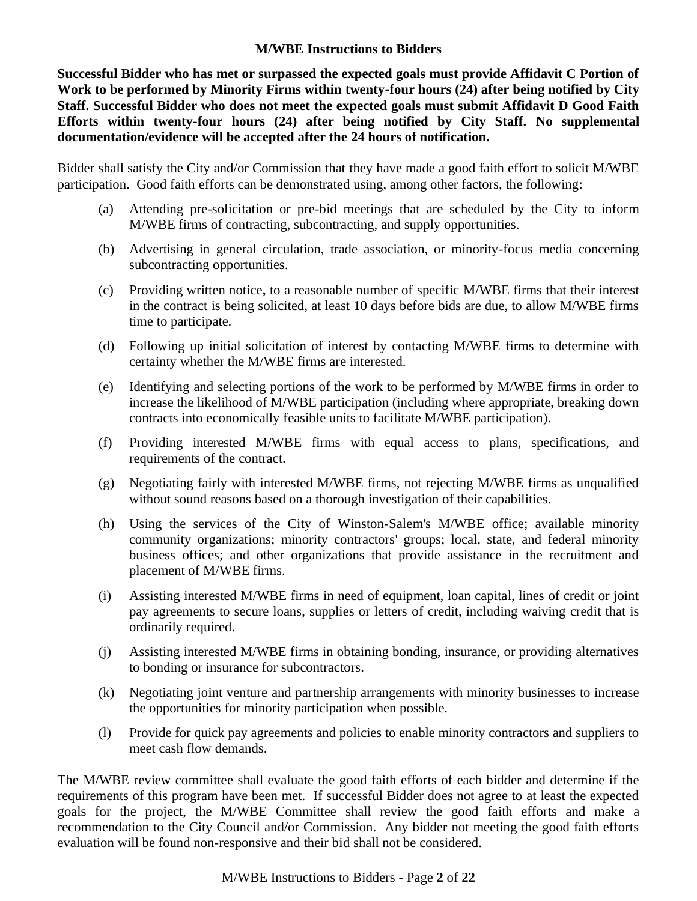### **M/WBE Instructions to Bidders**

**Successful Bidder who has met or surpassed the expected goals must provide Affidavit C Portion of Work to be performed by Minority Firms within twenty-four hours (24) after being notified by City Staff. Successful Bidder who does not meet the expected goals must submit Affidavit D Good Faith Efforts within twenty-four hours (24) after being notified by City Staff. No supplemental documentation/evidence will be accepted after the 24 hours of notification.** 

Bidder shall satisfy the City and/or Commission that they have made a good faith effort to solicit M/WBE participation. Good faith efforts can be demonstrated using, among other factors, the following:

- (a) Attending pre-solicitation or pre-bid meetings that are scheduled by the City to inform M/WBE firms of contracting, subcontracting, and supply opportunities.
- (b) Advertising in general circulation, trade association, or minority-focus media concerning subcontracting opportunities.
- (c) Providing written notice**,** to a reasonable number of specific M/WBE firms that their interest in the contract is being solicited, at least 10 days before bids are due, to allow M/WBE firms time to participate.
- (d) Following up initial solicitation of interest by contacting M/WBE firms to determine with certainty whether the M/WBE firms are interested.
- (e) Identifying and selecting portions of the work to be performed by M/WBE firms in order to increase the likelihood of M/WBE participation (including where appropriate, breaking down contracts into economically feasible units to facilitate M/WBE participation).
- (f) Providing interested M/WBE firms with equal access to plans, specifications, and requirements of the contract.
- (g) Negotiating fairly with interested M/WBE firms, not rejecting M/WBE firms as unqualified without sound reasons based on a thorough investigation of their capabilities.
- (h) Using the services of the City of Winston-Salem's M/WBE office; available minority community organizations; minority contractors' groups; local, state, and federal minority business offices; and other organizations that provide assistance in the recruitment and placement of M/WBE firms.
- (i) Assisting interested M/WBE firms in need of equipment, loan capital, lines of credit or joint pay agreements to secure loans, supplies or letters of credit, including waiving credit that is ordinarily required.
- (j) Assisting interested M/WBE firms in obtaining bonding, insurance, or providing alternatives to bonding or insurance for subcontractors.
- (k) Negotiating joint venture and partnership arrangements with minority businesses to increase the opportunities for minority participation when possible.
- (l) Provide for quick pay agreements and policies to enable minority contractors and suppliers to meet cash flow demands.

The M/WBE review committee shall evaluate the good faith efforts of each bidder and determine if the requirements of this program have been met. If successful Bidder does not agree to at least the expected goals for the project, the M/WBE Committee shall review the good faith efforts and make a recommendation to the City Council and/or Commission. Any bidder not meeting the good faith efforts evaluation will be found non-responsive and their bid shall not be considered.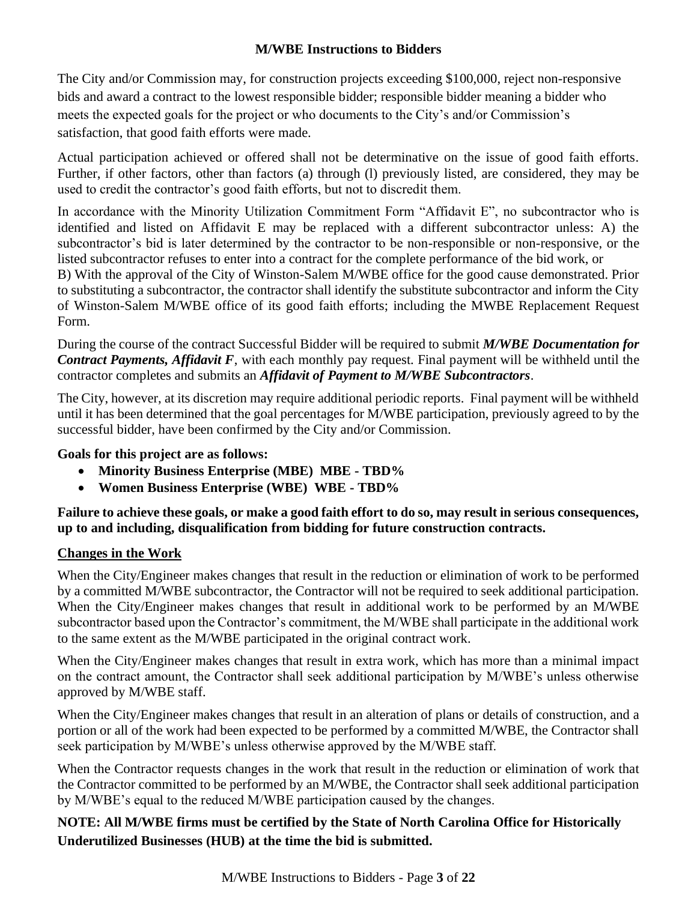# **M/WBE Instructions to Bidders**

The City and/or Commission may, for construction projects exceeding \$100,000, reject non-responsive bids and award a contract to the lowest responsible bidder; responsible bidder meaning a bidder who meets the expected goals for the project or who documents to the City's and/or Commission's satisfaction, that good faith efforts were made.

Actual participation achieved or offered shall not be determinative on the issue of good faith efforts. Further, if other factors, other than factors (a) through (l) previously listed, are considered, they may be used to credit the contractor's good faith efforts, but not to discredit them.

In accordance with the Minority Utilization Commitment Form "Affidavit E", no subcontractor who is identified and listed on Affidavit E may be replaced with a different subcontractor unless: A) the subcontractor's bid is later determined by the contractor to be non-responsible or non-responsive, or the listed subcontractor refuses to enter into a contract for the complete performance of the bid work, or B) With the approval of the City of Winston-Salem M/WBE office for the good cause demonstrated. Prior to substituting a subcontractor, the contractor shall identify the substitute subcontractor and inform the City of Winston-Salem M/WBE office of its good faith efforts; including the MWBE Replacement Request Form.

During the course of the contract Successful Bidder will be required to submit *M/WBE Documentation for Contract Payments, Affidavit F*, with each monthly pay request. Final payment will be withheld until the contractor completes and submits an *Affidavit of Payment to M/WBE Subcontractors*.

The City, however, at its discretion may require additional periodic reports. Final payment will be withheld until it has been determined that the goal percentages for M/WBE participation, previously agreed to by the successful bidder, have been confirmed by the City and/or Commission.

**Goals for this project are as follows:**

- **Minority Business Enterprise (MBE) MBE - TBD%**
- **Women Business Enterprise (WBE) WBE - TBD%**

**Failure to achieve these goals, or make a good faith effort to do so, may result in serious consequences, up to and including, disqualification from bidding for future construction contracts.**

# **Changes in the Work**

When the City/Engineer makes changes that result in the reduction or elimination of work to be performed by a committed M/WBE subcontractor, the Contractor will not be required to seek additional participation. When the City/Engineer makes changes that result in additional work to be performed by an M/WBE subcontractor based upon the Contractor's commitment, the M/WBE shall participate in the additional work to the same extent as the M/WBE participated in the original contract work.

When the City/Engineer makes changes that result in extra work, which has more than a minimal impact on the contract amount, the Contractor shall seek additional participation by M/WBE's unless otherwise approved by M/WBE staff.

When the City/Engineer makes changes that result in an alteration of plans or details of construction, and a portion or all of the work had been expected to be performed by a committed M/WBE, the Contractor shall seek participation by M/WBE's unless otherwise approved by the M/WBE staff.

When the Contractor requests changes in the work that result in the reduction or elimination of work that the Contractor committed to be performed by an M/WBE, the Contractor shall seek additional participation by M/WBE's equal to the reduced M/WBE participation caused by the changes.

**NOTE: All M/WBE firms must be certified by the State of North Carolina Office for Historically Underutilized Businesses (HUB) at the time the bid is submitted.**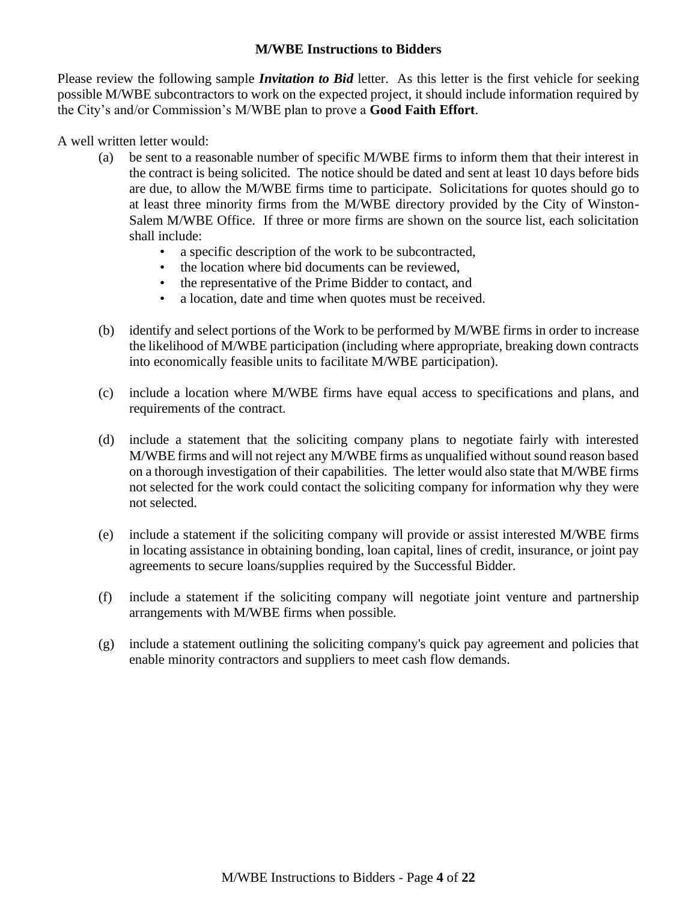# **M/WBE Instructions to Bidders**

Please review the following sample *Invitation to Bid* letter. As this letter is the first vehicle for seeking possible M/WBE subcontractors to work on the expected project, it should include information required by the City's and/or Commission's M/WBE plan to prove a **Good Faith Effort**.

A well written letter would:

- (a) be sent to a reasonable number of specific M/WBE firms to inform them that their interest in the contract is being solicited. The notice should be dated and sent at least 10 days before bids are due, to allow the M/WBE firms time to participate. Solicitations for quotes should go to at least three minority firms from the M/WBE directory provided by the City of Winston-Salem M/WBE Office. If three or more firms are shown on the source list, each solicitation shall include:
	- a specific description of the work to be subcontracted,
	- the location where bid documents can be reviewed.
	- the representative of the Prime Bidder to contact, and
	- a location, date and time when quotes must be received.
- (b) identify and select portions of the Work to be performed by M/WBE firms in order to increase the likelihood of M/WBE participation (including where appropriate, breaking down contracts into economically feasible units to facilitate M/WBE participation).
- (c) include a location where M/WBE firms have equal access to specifications and plans, and requirements of the contract.
- (d) include a statement that the soliciting company plans to negotiate fairly with interested M/WBE firms and will not reject any M/WBE firms as unqualified without sound reason based on a thorough investigation of their capabilities. The letter would also state that M/WBE firms not selected for the work could contact the soliciting company for information why they were not selected.
- (e) include a statement if the soliciting company will provide or assist interested M/WBE firms in locating assistance in obtaining bonding, loan capital, lines of credit, insurance, or joint pay agreements to secure loans/supplies required by the Successful Bidder.
- (f) include a statement if the soliciting company will negotiate joint venture and partnership arrangements with M/WBE firms when possible.
- (g) include a statement outlining the soliciting company's quick pay agreement and policies that enable minority contractors and suppliers to meet cash flow demands.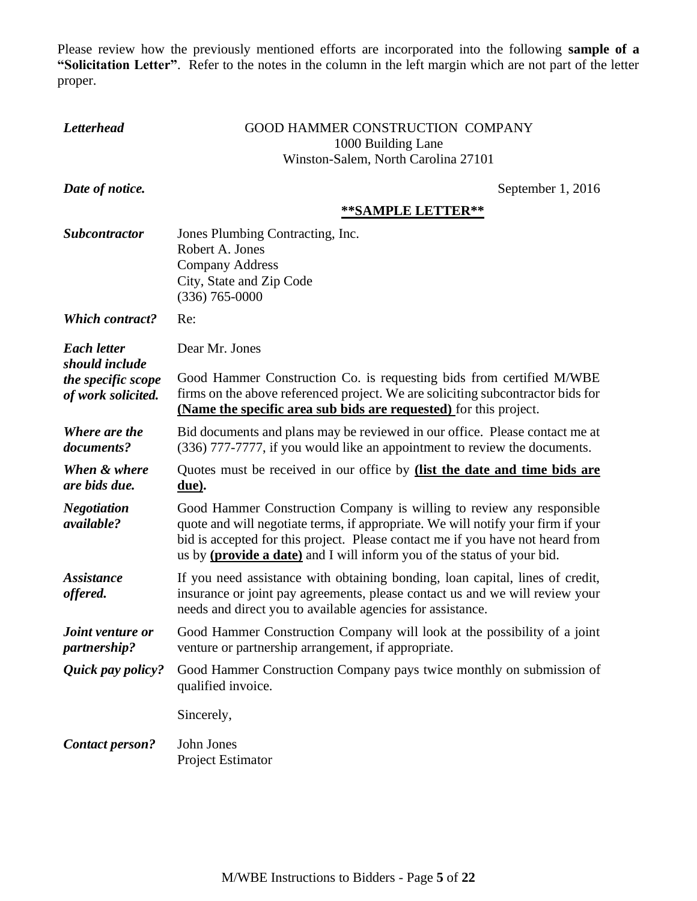Please review how the previously mentioned efforts are incorporated into the following **sample of a "Solicitation Letter"**. Refer to the notes in the column in the left margin which are not part of the letter proper.

| <b>Letterhead</b>                                                                                                                                                                                                                                                                          | GOOD HAMMER CONSTRUCTION COMPANY                                                                                                                                                                                                                                                                                                |  |
|--------------------------------------------------------------------------------------------------------------------------------------------------------------------------------------------------------------------------------------------------------------------------------------------|---------------------------------------------------------------------------------------------------------------------------------------------------------------------------------------------------------------------------------------------------------------------------------------------------------------------------------|--|
|                                                                                                                                                                                                                                                                                            | 1000 Building Lane<br>Winston-Salem, North Carolina 27101                                                                                                                                                                                                                                                                       |  |
|                                                                                                                                                                                                                                                                                            |                                                                                                                                                                                                                                                                                                                                 |  |
| Date of notice.                                                                                                                                                                                                                                                                            | September 1, 2016                                                                                                                                                                                                                                                                                                               |  |
|                                                                                                                                                                                                                                                                                            | **SAMPLE LETTER**                                                                                                                                                                                                                                                                                                               |  |
| <b>Subcontractor</b>                                                                                                                                                                                                                                                                       | Jones Plumbing Contracting, Inc.<br>Robert A. Jones<br><b>Company Address</b>                                                                                                                                                                                                                                                   |  |
|                                                                                                                                                                                                                                                                                            | City, State and Zip Code<br>$(336)$ 765-0000                                                                                                                                                                                                                                                                                    |  |
| <b>Which contract?</b>                                                                                                                                                                                                                                                                     | Re:                                                                                                                                                                                                                                                                                                                             |  |
| <b>Each letter</b>                                                                                                                                                                                                                                                                         | Dear Mr. Jones                                                                                                                                                                                                                                                                                                                  |  |
| should include<br>Good Hammer Construction Co. is requesting bids from certified M/WBE<br>the specific scope<br>firms on the above referenced project. We are soliciting subcontractor bids for<br>of work solicited.<br>(Name the specific area sub bids are requested) for this project. |                                                                                                                                                                                                                                                                                                                                 |  |
| Where are the<br>documents?                                                                                                                                                                                                                                                                | Bid documents and plans may be reviewed in our office. Please contact me at<br>(336) 777-7777, if you would like an appointment to review the documents.                                                                                                                                                                        |  |
| When & where<br>are bids due.                                                                                                                                                                                                                                                              | Quotes must be received in our office by <i>(list the date and time bids are</i><br>due).                                                                                                                                                                                                                                       |  |
| <b>Negotiation</b><br>available?                                                                                                                                                                                                                                                           | Good Hammer Construction Company is willing to review any responsible<br>quote and will negotiate terms, if appropriate. We will notify your firm if your<br>bid is accepted for this project. Please contact me if you have not heard from<br>us by ( <b>provide a date</b> ) and I will inform you of the status of your bid. |  |
| <b>Assistance</b><br>offered.                                                                                                                                                                                                                                                              | If you need assistance with obtaining bonding, loan capital, lines of credit,<br>insurance or joint pay agreements, please contact us and we will review your<br>needs and direct you to available agencies for assistance.                                                                                                     |  |
| Joint venture or<br>partnership?                                                                                                                                                                                                                                                           | Good Hammer Construction Company will look at the possibility of a joint<br>venture or partnership arrangement, if appropriate.                                                                                                                                                                                                 |  |
| Quick pay policy?                                                                                                                                                                                                                                                                          | Good Hammer Construction Company pays twice monthly on submission of<br>qualified invoice.                                                                                                                                                                                                                                      |  |
|                                                                                                                                                                                                                                                                                            | Sincerely,                                                                                                                                                                                                                                                                                                                      |  |
| <b>Contact person?</b>                                                                                                                                                                                                                                                                     | John Jones<br>Project Estimator                                                                                                                                                                                                                                                                                                 |  |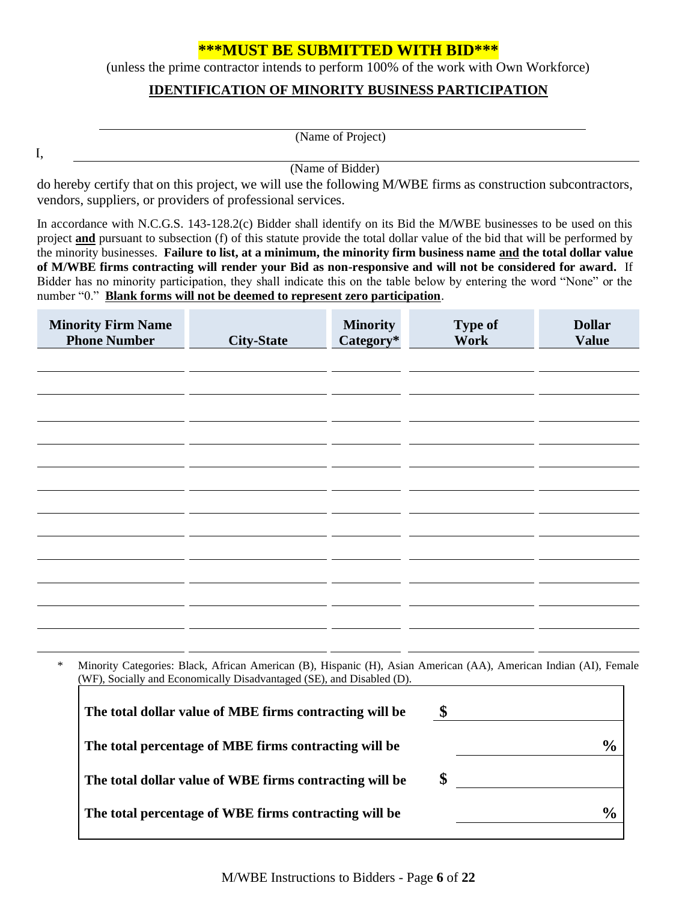# **\*\*\*MUST BE SUBMITTED WITH BID\*\*\***

(unless the prime contractor intends to perform 100% of the work with Own Workforce)

### **IDENTIFICATION OF MINORITY BUSINESS PARTICIPATION**

| (Name of Project) |
|-------------------|
|-------------------|

I,

(Name of Bidder)

do hereby certify that on this project, we will use the following M/WBE firms as construction subcontractors, vendors, suppliers, or providers of professional services.

In accordance with N.C.G.S. 143-128.2(c) Bidder shall identify on its Bid the M/WBE businesses to be used on this project **and** pursuant to subsection (f) of this statute provide the total dollar value of the bid that will be performed by the minority businesses. **Failure to list, at a minimum, the minority firm business name and the total dollar value of M/WBE firms contracting will render your Bid as non-responsive and will not be considered for award.** If Bidder has no minority participation, they shall indicate this on the table below by entering the word "None" or the number "0." **Blank forms will not be deemed to represent zero participation**.

| <b>Minority Firm Name</b><br><b>Phone Number</b> | <b>City-State</b> | <b>Minority</b><br>Category* | <b>Type of</b><br>Work | <b>Dollar</b><br><b>Value</b> |
|--------------------------------------------------|-------------------|------------------------------|------------------------|-------------------------------|
|                                                  |                   |                              |                        |                               |
|                                                  |                   |                              |                        |                               |
|                                                  |                   |                              |                        |                               |
|                                                  |                   |                              |                        |                               |
|                                                  |                   |                              |                        |                               |
|                                                  |                   |                              |                        |                               |
|                                                  |                   |                              |                        |                               |
|                                                  |                   |                              |                        |                               |
|                                                  |                   |                              |                        |                               |
|                                                  |                   |                              |                        |                               |
|                                                  |                   |                              |                        |                               |
|                                                  |                   |                              |                        |                               |

\* Minority Categories: Black, African American (B), Hispanic (H), Asian American (AA), American Indian (AI), Female (WF), Socially and Economically Disadvantaged (SE), and Disabled (D). ٦

| The total dollar value of MBE firms contracting will be | \$            |
|---------------------------------------------------------|---------------|
| The total percentage of MBE firms contracting will be   | $\frac{0}{0}$ |
| The total dollar value of WBE firms contracting will be | \$            |
| The total percentage of WBE firms contracting will be   | $\frac{0}{0}$ |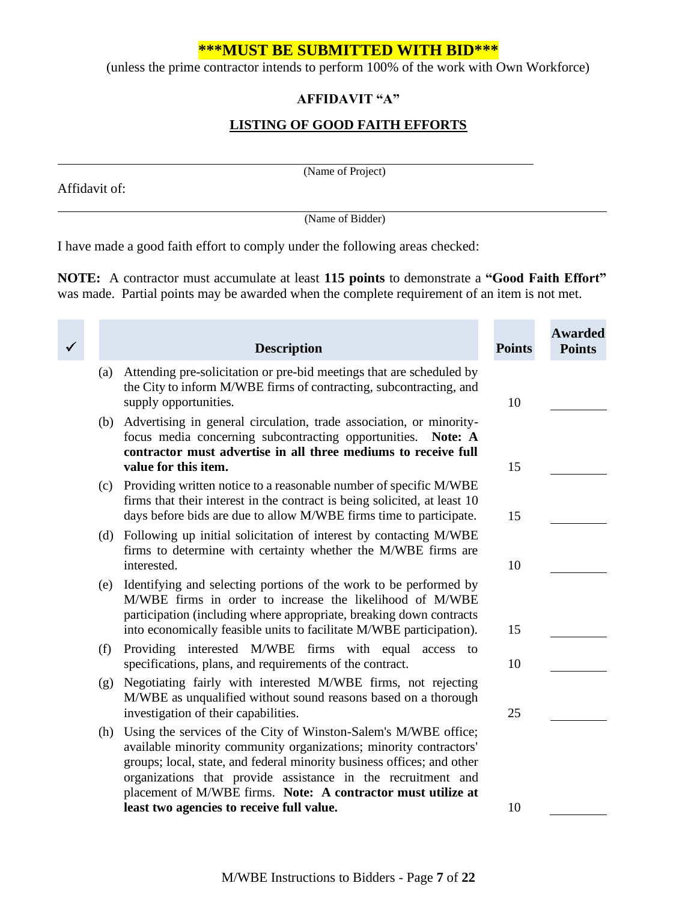# **\*\*\*MUST BE SUBMITTED WITH BID\*\*\***

(unless the prime contractor intends to perform 100% of the work with Own Workforce)

## **AFFIDAVIT "A"**

# **LISTING OF GOOD FAITH EFFORTS**

Affidavit of:

(Name of Project)

(Name of Bidder)

I have made a good faith effort to comply under the following areas checked:

**NOTE:** A contractor must accumulate at least **115 points** to demonstrate a **"Good Faith Effort"** was made. Partial points may be awarded when the complete requirement of an item is not met.

۰

**COL** 

| ✓ |     | <b>Description</b>                                                                                                                                                                                                                                                                                                                                                                          | <b>Points</b> | <b>Awarded</b><br><b>Points</b> |
|---|-----|---------------------------------------------------------------------------------------------------------------------------------------------------------------------------------------------------------------------------------------------------------------------------------------------------------------------------------------------------------------------------------------------|---------------|---------------------------------|
|   | (a) | Attending pre-solicitation or pre-bid meetings that are scheduled by<br>the City to inform M/WBE firms of contracting, subcontracting, and<br>supply opportunities.                                                                                                                                                                                                                         | 10            |                                 |
|   | (b) | Advertising in general circulation, trade association, or minority-<br>focus media concerning subcontracting opportunities. Note: A<br>contractor must advertise in all three mediums to receive full<br>value for this item.                                                                                                                                                               | 15            |                                 |
|   | (c) | Providing written notice to a reasonable number of specific M/WBE<br>firms that their interest in the contract is being solicited, at least 10<br>days before bids are due to allow M/WBE firms time to participate.                                                                                                                                                                        | 15            |                                 |
|   | (d) | Following up initial solicitation of interest by contacting M/WBE<br>firms to determine with certainty whether the M/WBE firms are<br>interested.                                                                                                                                                                                                                                           | 10            |                                 |
|   | (e) | Identifying and selecting portions of the work to be performed by<br>M/WBE firms in order to increase the likelihood of M/WBE<br>participation (including where appropriate, breaking down contracts<br>into economically feasible units to facilitate M/WBE participation).                                                                                                                | 15            |                                 |
|   | (f) | Providing interested M/WBE firms with equal access to<br>specifications, plans, and requirements of the contract.                                                                                                                                                                                                                                                                           | 10            |                                 |
|   | (g) | Negotiating fairly with interested M/WBE firms, not rejecting<br>M/WBE as unqualified without sound reasons based on a thorough<br>investigation of their capabilities.                                                                                                                                                                                                                     | 25            |                                 |
|   | (h) | Using the services of the City of Winston-Salem's M/WBE office;<br>available minority community organizations; minority contractors'<br>groups; local, state, and federal minority business offices; and other<br>organizations that provide assistance in the recruitment and<br>placement of M/WBE firms. Note: A contractor must utilize at<br>least two agencies to receive full value. | 10            |                                 |
|   |     |                                                                                                                                                                                                                                                                                                                                                                                             |               |                                 |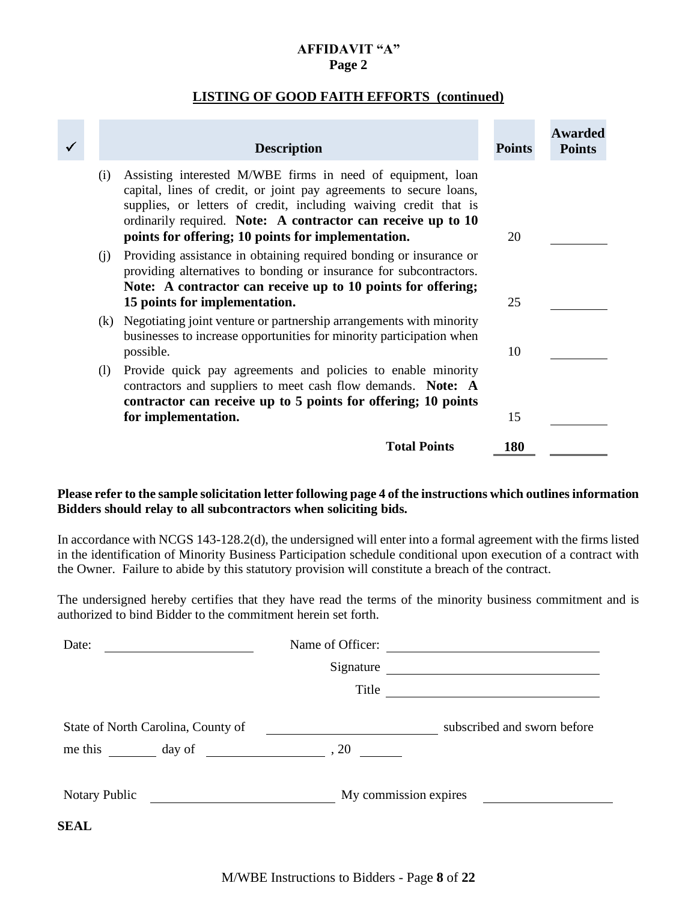#### **AFFIDAVIT "A" Page 2**

#### **LISTING OF GOOD FAITH EFFORTS (continued)**

|     | <b>Description</b>                                                                                                                                                                                                                                                                                                          | <b>Points</b> | <b>Awarded</b><br><b>Points</b> |
|-----|-----------------------------------------------------------------------------------------------------------------------------------------------------------------------------------------------------------------------------------------------------------------------------------------------------------------------------|---------------|---------------------------------|
| (i) | Assisting interested M/WBE firms in need of equipment, loan<br>capital, lines of credit, or joint pay agreements to secure loans,<br>supplies, or letters of credit, including waiving credit that is<br>ordinarily required. Note: A contractor can receive up to 10<br>points for offering; 10 points for implementation. | 20            |                                 |
| (i) | Providing assistance in obtaining required bonding or insurance or<br>providing alternatives to bonding or insurance for subcontractors.<br>Note: A contractor can receive up to 10 points for offering;<br>15 points for implementation.                                                                                   | 25            |                                 |
|     | (k) Negotiating joint venture or partnership arrangements with minority<br>businesses to increase opportunities for minority participation when<br>possible.                                                                                                                                                                | 10            |                                 |
| (1) | Provide quick pay agreements and policies to enable minority<br>contractors and suppliers to meet cash flow demands. Note: A<br>contractor can receive up to 5 points for offering; 10 points<br>for implementation.                                                                                                        | 15            |                                 |
|     | <b>Total Points</b>                                                                                                                                                                                                                                                                                                         | <b>180</b>    |                                 |

#### **Please refer to the sample solicitation letter following page 4 of the instructions which outlines information Bidders should relay to all subcontractors when soliciting bids.**

In accordance with NCGS 143-128.2(d), the undersigned will enter into a formal agreement with the firms listed in the identification of Minority Business Participation schedule conditional upon execution of a contract with the Owner. Failure to abide by this statutory provision will constitute a breach of the contract.

The undersigned hereby certifies that they have read the terms of the minority business commitment and is authorized to bind Bidder to the commitment herein set forth.

| Date:                                                              | Name of Officer:                                                                                                     | <u> 1989 - Johann Stein, fransk politiker (d. 1989)</u> |
|--------------------------------------------------------------------|----------------------------------------------------------------------------------------------------------------------|---------------------------------------------------------|
|                                                                    | Signature                                                                                                            | <u> 1989 - John Stein, Amerikaansk politiker (</u>      |
|                                                                    | Title                                                                                                                |                                                         |
| State of North Carolina, County of                                 | <u> 1989 - Andrea Maria II, amerikan bisa di sebagai perang perang perang perang perang perang perang perang per</u> | subscribed and sworn before                             |
| me this $\frac{1}{2}$ day of $\frac{1}{2}$ , 20                    |                                                                                                                      |                                                         |
|                                                                    |                                                                                                                      |                                                         |
| <b>Notary Public</b><br><u> 1980 - Andrea Andrew Maria Barat (</u> |                                                                                                                      | My commission expires                                   |
| <b>SEAL</b>                                                        |                                                                                                                      |                                                         |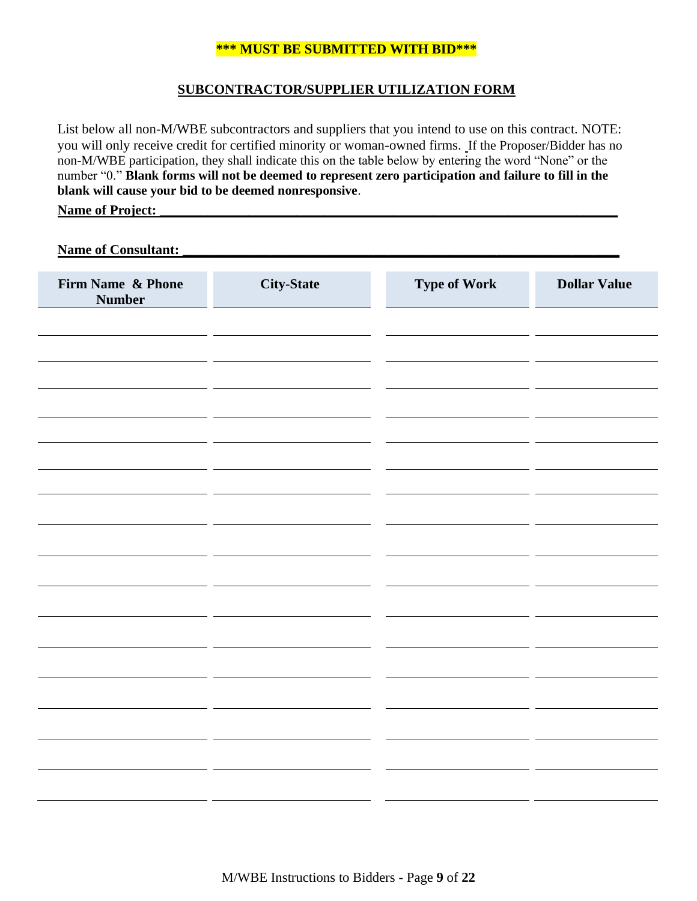### **\*\*\* MUST BE SUBMITTED WITH BID\*\*\***

#### **SUBCONTRACTOR/SUPPLIER UTILIZATION FORM**

List below all non-M/WBE subcontractors and suppliers that you intend to use on this contract. NOTE: you will only receive credit for certified minority or woman-owned firms. If the Proposer/Bidder has no non-M/WBE participation, they shall indicate this on the table below by entering the word "None" or the number "0." **Blank forms will not be deemed to represent zero participation and failure to fill in the blank will cause your bid to be deemed nonresponsive**.

#### **Name of Project:**

Name of Consultant:

| Firm Name & Phone<br><b>Number</b> | <b>City-State</b> | <b>Type of Work</b> | <b>Dollar Value</b> |
|------------------------------------|-------------------|---------------------|---------------------|
|                                    |                   |                     |                     |
|                                    |                   |                     |                     |
|                                    |                   |                     |                     |
|                                    |                   |                     |                     |
|                                    |                   |                     |                     |
|                                    |                   |                     |                     |
|                                    |                   |                     |                     |
|                                    |                   |                     |                     |
|                                    |                   |                     |                     |
|                                    |                   |                     |                     |
|                                    |                   |                     |                     |
|                                    |                   |                     |                     |
|                                    |                   |                     |                     |
|                                    |                   |                     |                     |
|                                    |                   |                     |                     |
|                                    |                   |                     |                     |
|                                    |                   |                     |                     |
|                                    |                   |                     |                     |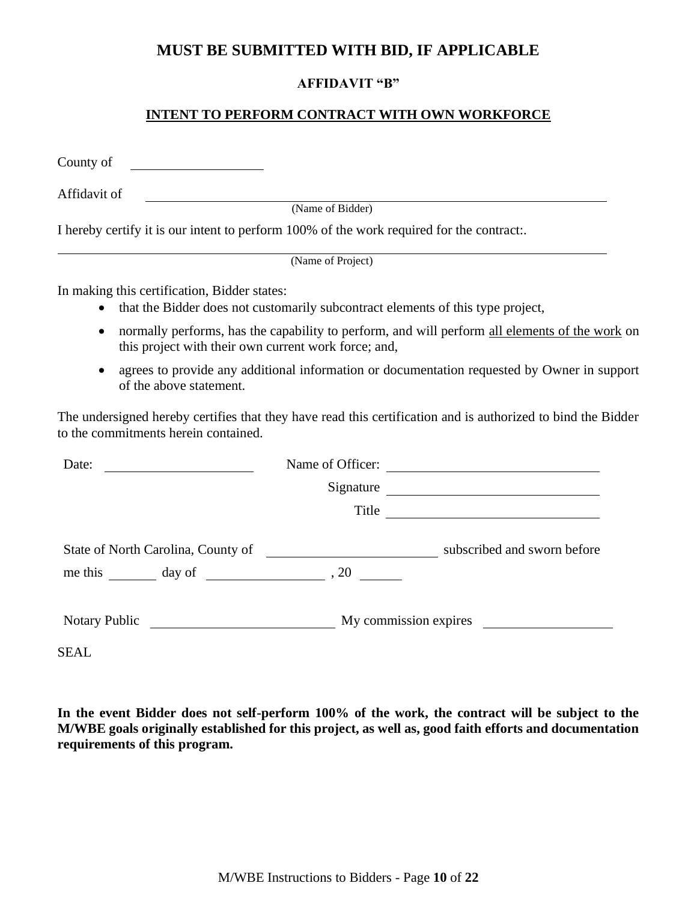# **MUST BE SUBMITTED WITH BID, IF APPLICABLE**

# **AFFIDAVIT "B"**

## **INTENT TO PERFORM CONTRACT WITH OWN WORKFORCE**

County of

Affidavit of

(Name of Bidder)

I hereby certify it is our intent to perform 100% of the work required for the contract:.

(Name of Project)

In making this certification, Bidder states:

- that the Bidder does not customarily subcontract elements of this type project,
- normally performs, has the capability to perform, and will perform all elements of the work on this project with their own current work force; and,
- agrees to provide any additional information or documentation requested by Owner in support of the above statement.

The undersigned hereby certifies that they have read this certification and is authorized to bind the Bidder to the commitments herein contained.

| Date:                                                                                                                                        | Name of Officer: | <u> 1989 - Johann Barn, mars ann an t-Amhain an t-Amhain an t-Amhain an t-Amhain an t-Amhain an t-Amhain an t-Amh</u>                                                                                                                |
|----------------------------------------------------------------------------------------------------------------------------------------------|------------------|--------------------------------------------------------------------------------------------------------------------------------------------------------------------------------------------------------------------------------------|
|                                                                                                                                              | Signature        | <u>and the company of the company of the company of the company of the company of the company of the company of the company of the company of the company of the company of the company of the company of the company of the com</u> |
|                                                                                                                                              | Title            | <u> 1989 - Johann Stein, fransk politiker (d. 1989)</u>                                                                                                                                                                              |
| State of North Carolina, County of<br>me this day of                                                                                         | , 20             | subscribed and sworn before                                                                                                                                                                                                          |
| <b>Notary Public</b><br><u> 1989 - Jan Barbara Barat, prima prima prima prima prima prima prima prima prima prima prima prima prima prim</u> |                  | My commission expires                                                                                                                                                                                                                |

SEAL

**In the event Bidder does not self-perform 100% of the work, the contract will be subject to the M/WBE goals originally established for this project, as well as, good faith efforts and documentation requirements of this program.**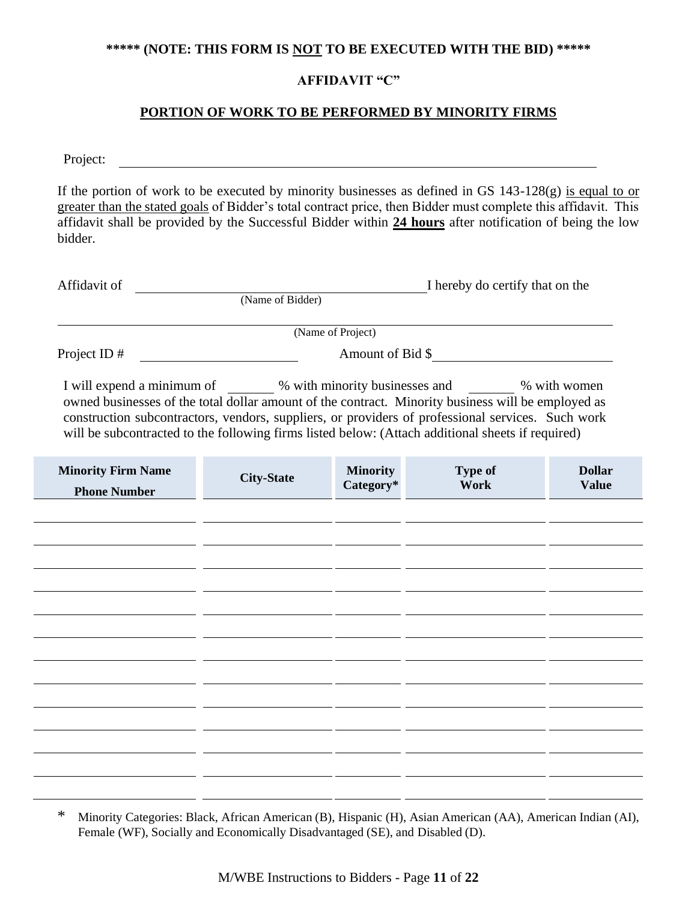#### **\*\*\*\*\* (NOTE: THIS FORM IS NOT TO BE EXECUTED WITH THE BID) \*\*\*\*\***

## **AFFIDAVIT "C"**

### **PORTION OF WORK TO BE PERFORMED BY MINORITY FIRMS**

Project:

If the portion of work to be executed by minority businesses as defined in GS  $143-128(g)$  is equal to or greater than the stated goals of Bidder's total contract price, then Bidder must complete this affidavit. This affidavit shall be provided by the Successful Bidder within **24 hours** after notification of being the low bidder.

| Affidavit of   |                   | I hereby do certify that on the |
|----------------|-------------------|---------------------------------|
|                | (Name of Bidder)  |                                 |
|                |                   |                                 |
|                | (Name of Project) |                                 |
| Project ID $#$ |                   | Amount of Bid \$                |
|                |                   |                                 |

I will expend a minimum of  $\%$  with minority businesses and  $\%$  with women owned businesses of the total dollar amount of the contract. Minority business will be employed as construction subcontractors, vendors, suppliers, or providers of professional services. Such work will be subcontracted to the following firms listed below: (Attach additional sheets if required)

| <b>Minority Firm Name</b><br><b>Phone Number</b> | <b>City-State</b> | <b>Minority</b><br>Category* | Type of<br>Work | <b>Dollar</b><br><b>Value</b> |
|--------------------------------------------------|-------------------|------------------------------|-----------------|-------------------------------|
|                                                  |                   |                              |                 |                               |
|                                                  |                   |                              |                 |                               |
|                                                  |                   |                              |                 |                               |
|                                                  |                   |                              |                 |                               |
|                                                  |                   |                              |                 |                               |
|                                                  |                   |                              |                 |                               |
|                                                  |                   |                              |                 |                               |
|                                                  |                   |                              |                 |                               |
|                                                  |                   |                              |                 |                               |
|                                                  |                   |                              |                 |                               |
|                                                  |                   |                              |                 |                               |
|                                                  |                   |                              |                 |                               |

<sup>\*</sup> Minority Categories: Black, African American (B), Hispanic (H), Asian American (AA), American Indian (AI), Female (WF), Socially and Economically Disadvantaged (SE), and Disabled (D).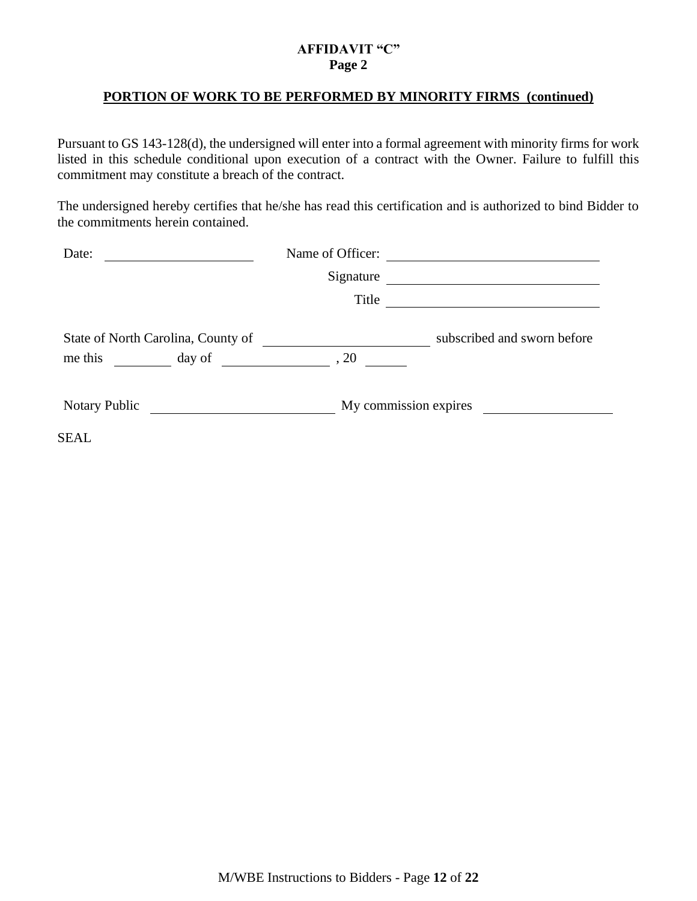## **AFFIDAVIT "C" Page 2**

#### **PORTION OF WORK TO BE PERFORMED BY MINORITY FIRMS (continued)**

Pursuant to GS 143-128(d), the undersigned will enter into a formal agreement with minority firms for work listed in this schedule conditional upon execution of a contract with the Owner. Failure to fulfill this commitment may constitute a breach of the contract.

The undersigned hereby certifies that he/she has read this certification and is authorized to bind Bidder to the commitments herein contained.

| Date:                                                     | Name of Officer: |                                                                                                                      |
|-----------------------------------------------------------|------------------|----------------------------------------------------------------------------------------------------------------------|
|                                                           | Signature        |                                                                                                                      |
|                                                           | Title            | <u> 1980 - Andrea Britain, politik eta politik eta politik eta politik eta politik eta politik eta politik eta p</u> |
| State of North Carolina, County of<br>me this day of , 20 |                  | subscribed and sworn before                                                                                          |
| Notary Public                                             |                  | My commission expires                                                                                                |
| SEAL                                                      |                  |                                                                                                                      |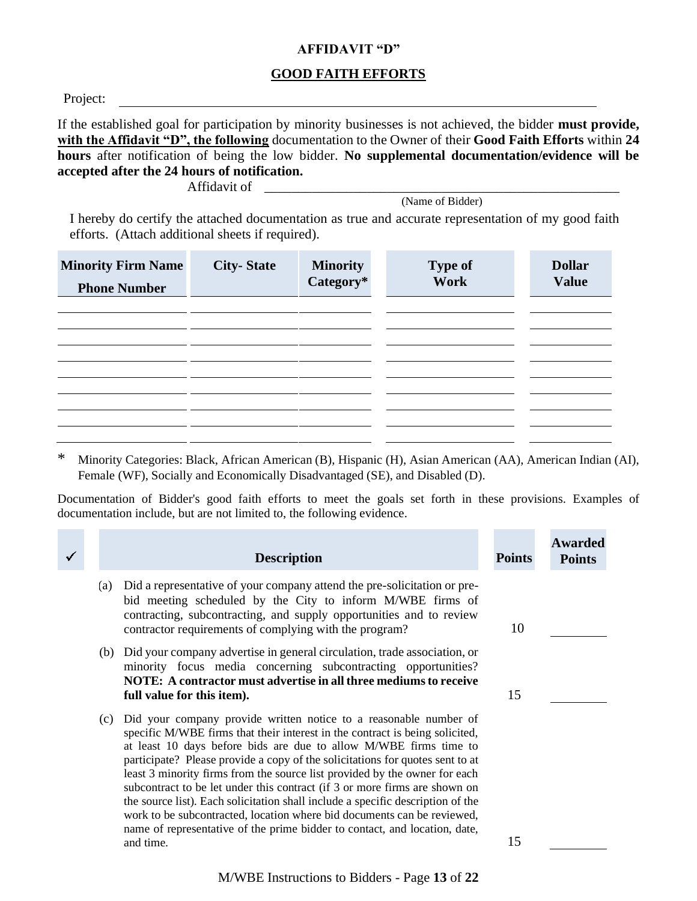#### **AFFIDAVIT "D"**

#### **GOOD FAITH EFFORTS**

Project:

If the established goal for participation by minority businesses is not achieved, the bidder **must provide, with the Affidavit "D", the following** documentation to the Owner of their **Good Faith Efforts** within **24 hours** after notification of being the low bidder. **No supplemental documentation/evidence will be accepted after the 24 hours of notification.**

Affidavit of \_\_\_\_\_\_\_\_\_\_\_\_\_\_\_\_\_\_\_\_\_\_\_\_\_\_\_\_\_\_\_\_\_\_\_\_\_\_\_\_\_\_\_\_\_\_\_\_\_\_\_\_

(Name of Bidder)

I hereby do certify the attached documentation as true and accurate representation of my good faith efforts. (Attach additional sheets if required).

| <b>Minority Firm Name</b><br><b>Phone Number</b> | <b>City-State</b> | <b>Minority</b><br>Category* | <b>Type of</b><br>Work | <b>Dollar</b><br><b>Value</b> |
|--------------------------------------------------|-------------------|------------------------------|------------------------|-------------------------------|
|                                                  |                   |                              |                        |                               |
|                                                  |                   |                              |                        |                               |
|                                                  |                   |                              |                        |                               |

\* Minority Categories: Black, African American (B), Hispanic (H), Asian American (AA), American Indian (AI), Female (WF), Socially and Economically Disadvantaged (SE), and Disabled (D).

Documentation of Bidder's good faith efforts to meet the goals set forth in these provisions. Examples of documentation include, but are not limited to, the following evidence.

|     | <b>Description</b>                                                                                                                                                                                                                                                                                                                                                                                                                                                                                                                                                                                                                                                                                                           | <b>Points</b> | <b>Awarded</b><br><b>Points</b> |
|-----|------------------------------------------------------------------------------------------------------------------------------------------------------------------------------------------------------------------------------------------------------------------------------------------------------------------------------------------------------------------------------------------------------------------------------------------------------------------------------------------------------------------------------------------------------------------------------------------------------------------------------------------------------------------------------------------------------------------------------|---------------|---------------------------------|
| (a) | Did a representative of your company attend the pre-solicitation or pre-<br>bid meeting scheduled by the City to inform M/WBE firms of<br>contracting, subcontracting, and supply opportunities and to review<br>contractor requirements of complying with the program?                                                                                                                                                                                                                                                                                                                                                                                                                                                      | 10            |                                 |
|     | (b) Did your company advertise in general circulation, trade association, or<br>minority focus media concerning subcontracting opportunities?<br>NOTE: A contractor must advertise in all three mediums to receive<br>full value for this item).                                                                                                                                                                                                                                                                                                                                                                                                                                                                             | 15            |                                 |
| (c) | Did your company provide written notice to a reasonable number of<br>specific M/WBE firms that their interest in the contract is being solicited,<br>at least 10 days before bids are due to allow M/WBE firms time to<br>participate? Please provide a copy of the solicitations for quotes sent to at<br>least 3 minority firms from the source list provided by the owner for each<br>subcontract to be let under this contract (if 3 or more firms are shown on<br>the source list). Each solicitation shall include a specific description of the<br>work to be subcontracted, location where bid documents can be reviewed,<br>name of representative of the prime bidder to contact, and location, date,<br>and time. | 15            |                                 |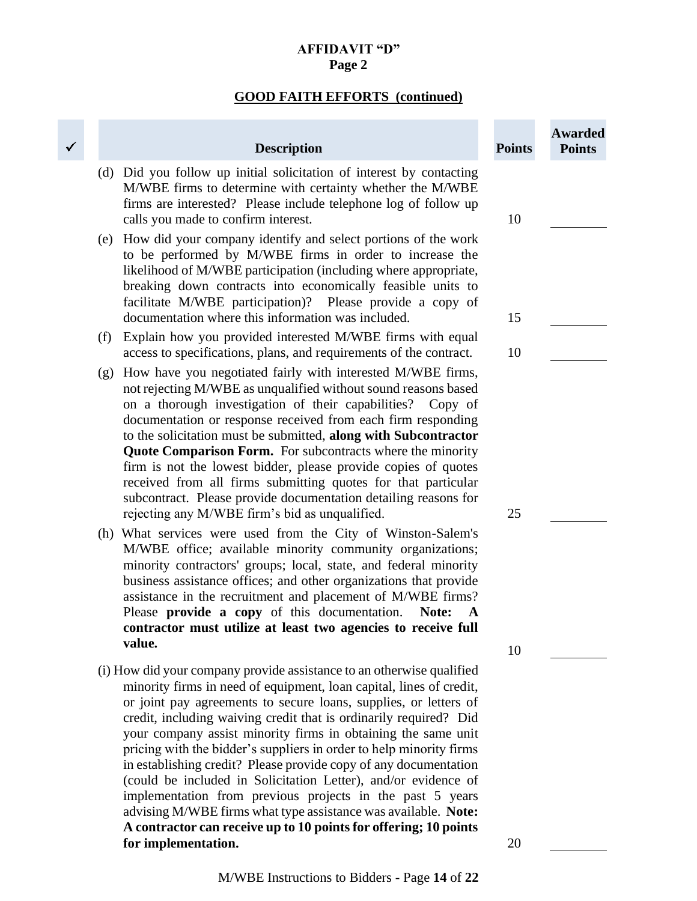# **AFFIDAVIT "D" Page 2**

# **GOOD FAITH EFFORTS (continued)**

×

|     | <b>Description</b>                                                                                                                                                                                                                                                                                                                                                                                                                                                                                                                                                                                                                                                                                                                                                     | <b>Points</b> | <b>Awarded</b><br><b>Points</b> |
|-----|------------------------------------------------------------------------------------------------------------------------------------------------------------------------------------------------------------------------------------------------------------------------------------------------------------------------------------------------------------------------------------------------------------------------------------------------------------------------------------------------------------------------------------------------------------------------------------------------------------------------------------------------------------------------------------------------------------------------------------------------------------------------|---------------|---------------------------------|
| (d) | Did you follow up initial solicitation of interest by contacting<br>M/WBE firms to determine with certainty whether the M/WBE<br>firms are interested? Please include telephone log of follow up<br>calls you made to confirm interest.                                                                                                                                                                                                                                                                                                                                                                                                                                                                                                                                | 10            |                                 |
| (e) | How did your company identify and select portions of the work<br>to be performed by M/WBE firms in order to increase the<br>likelihood of M/WBE participation (including where appropriate,<br>breaking down contracts into economically feasible units to<br>facilitate M/WBE participation)? Please provide a copy of<br>documentation where this information was included.                                                                                                                                                                                                                                                                                                                                                                                          | 15            |                                 |
| (f) | Explain how you provided interested M/WBE firms with equal                                                                                                                                                                                                                                                                                                                                                                                                                                                                                                                                                                                                                                                                                                             |               |                                 |
| (g) | access to specifications, plans, and requirements of the contract.<br>How have you negotiated fairly with interested M/WBE firms,<br>not rejecting M/WBE as unqualified without sound reasons based<br>on a thorough investigation of their capabilities? Copy of<br>documentation or response received from each firm responding<br>to the solicitation must be submitted, along with Subcontractor<br><b>Quote Comparison Form.</b> For subcontracts where the minority<br>firm is not the lowest bidder, please provide copies of quotes<br>received from all firms submitting quotes for that particular<br>subcontract. Please provide documentation detailing reasons for                                                                                        | 10            |                                 |
| (h) | rejecting any M/WBE firm's bid as unqualified.<br>What services were used from the City of Winston-Salem's<br>M/WBE office; available minority community organizations;<br>minority contractors' groups; local, state, and federal minority<br>business assistance offices; and other organizations that provide<br>assistance in the recruitment and placement of M/WBE firms?<br>Please provide a copy of this documentation.<br>Note:<br>A<br>contractor must utilize at least two agencies to receive full<br>value.                                                                                                                                                                                                                                               | 25<br>10      |                                 |
|     | (i) How did your company provide assistance to an otherwise qualified<br>minority firms in need of equipment, loan capital, lines of credit,<br>or joint pay agreements to secure loans, supplies, or letters of<br>credit, including waiving credit that is ordinarily required? Did<br>your company assist minority firms in obtaining the same unit<br>pricing with the bidder's suppliers in order to help minority firms<br>in establishing credit? Please provide copy of any documentation<br>(could be included in Solicitation Letter), and/or evidence of<br>implementation from previous projects in the past 5 years<br>advising M/WBE firms what type assistance was available. Note:<br>A contractor can receive up to 10 points for offering; 10 points |               |                                 |
|     | for implementation.                                                                                                                                                                                                                                                                                                                                                                                                                                                                                                                                                                                                                                                                                                                                                    | 20            |                                 |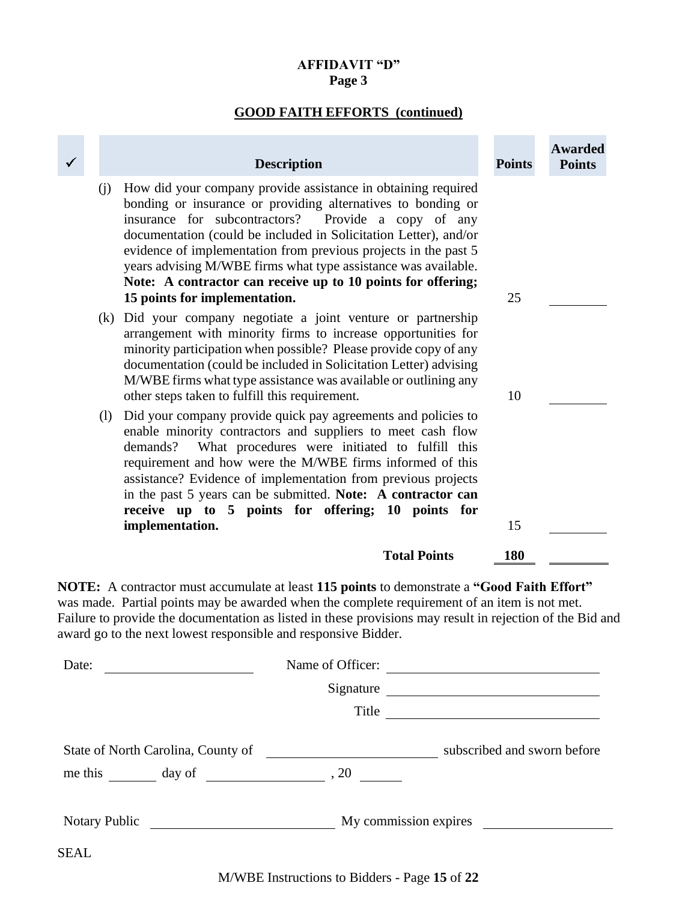# **AFFIDAVIT "D" Page 3**

# **GOOD FAITH EFFORTS (continued)**

|             | <b>Description</b>                                                                                                                                                                                                                                                                                                                                                                                                                                                                                       | <b>Points</b> | <b>Awarded</b><br><b>Points</b> |
|-------------|----------------------------------------------------------------------------------------------------------------------------------------------------------------------------------------------------------------------------------------------------------------------------------------------------------------------------------------------------------------------------------------------------------------------------------------------------------------------------------------------------------|---------------|---------------------------------|
|             | How did your company provide assistance in obtaining required<br>(i)<br>bonding or insurance or providing alternatives to bonding or<br>insurance for subcontractors?<br>Provide a copy of any<br>documentation (could be included in Solicitation Letter), and/or<br>evidence of implementation from previous projects in the past 5<br>years advising M/WBE firms what type assistance was available.<br>Note: A contractor can receive up to 10 points for offering;<br>15 points for implementation. | 25            |                                 |
|             | Did your company negotiate a joint venture or partnership<br>(k)<br>arrangement with minority firms to increase opportunities for<br>minority participation when possible? Please provide copy of any<br>documentation (could be included in Solicitation Letter) advising<br>M/WBE firms what type assistance was available or outlining any<br>other steps taken to fulfill this requirement.                                                                                                          | 10            |                                 |
|             | Did your company provide quick pay agreements and policies to<br>(1)<br>enable minority contractors and suppliers to meet cash flow<br>What procedures were initiated to fulfill this<br>demands?<br>requirement and how were the M/WBE firms informed of this<br>assistance? Evidence of implementation from previous projects<br>in the past 5 years can be submitted. Note: A contractor can<br>receive up to 5 points for offering; 10 points for<br>implementation.                                 | 15            |                                 |
|             | <b>Total Points</b>                                                                                                                                                                                                                                                                                                                                                                                                                                                                                      | 180           |                                 |
|             | NOTE: A contractor must accumulate at least 115 points to demonstrate a "Good Faith Effort"<br>was made. Partial points may be awarded when the complete requirement of an item is not met.<br>Failure to provide the documentation as listed in these provisions may result in rejection of the Bid and<br>award go to the next lowest responsible and responsive Bidder.                                                                                                                               |               |                                 |
|             | Name of Officer:<br>Date: $\qquad \qquad$                                                                                                                                                                                                                                                                                                                                                                                                                                                                |               |                                 |
|             | Signature                                                                                                                                                                                                                                                                                                                                                                                                                                                                                                |               |                                 |
|             | Title                                                                                                                                                                                                                                                                                                                                                                                                                                                                                                    |               |                                 |
|             |                                                                                                                                                                                                                                                                                                                                                                                                                                                                                                          |               |                                 |
|             | me this $\frac{1}{2}$ day of $\frac{1}{2}$ , 20 $\frac{1}{2}$                                                                                                                                                                                                                                                                                                                                                                                                                                            |               |                                 |
|             |                                                                                                                                                                                                                                                                                                                                                                                                                                                                                                          |               |                                 |
| <b>SEAL</b> |                                                                                                                                                                                                                                                                                                                                                                                                                                                                                                          |               |                                 |

M/WBE Instructions to Bidders - Page **15** of **22**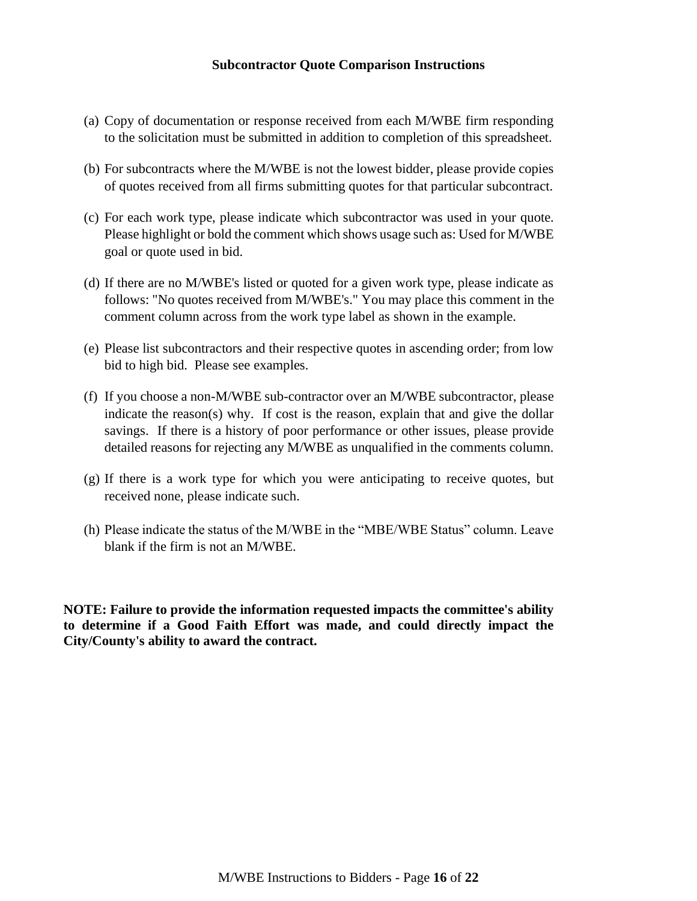#### **Subcontractor Quote Comparison Instructions**

- (a) Copy of documentation or response received from each M/WBE firm responding to the solicitation must be submitted in addition to completion of this spreadsheet.
- (b) For subcontracts where the M/WBE is not the lowest bidder, please provide copies of quotes received from all firms submitting quotes for that particular subcontract.
- (c) For each work type, please indicate which subcontractor was used in your quote. Please highlight or bold the comment which shows usage such as: Used for M/WBE goal or quote used in bid.
- (d) If there are no M/WBE's listed or quoted for a given work type, please indicate as follows: "No quotes received from M/WBE's." You may place this comment in the comment column across from the work type label as shown in the example.
- (e) Please list subcontractors and their respective quotes in ascending order; from low bid to high bid. Please see examples.
- (f) If you choose a non-M/WBE sub-contractor over an M/WBE subcontractor, please indicate the reason(s) why. If cost is the reason, explain that and give the dollar savings. If there is a history of poor performance or other issues, please provide detailed reasons for rejecting any M/WBE as unqualified in the comments column.
- (g) If there is a work type for which you were anticipating to receive quotes, but received none, please indicate such.
- (h) Please indicate the status of the M/WBE in the "MBE/WBE Status" column. Leave blank if the firm is not an M/WBE.

**NOTE: Failure to provide the information requested impacts the committee's ability to determine if a Good Faith Effort was made, and could directly impact the City/County's ability to award the contract.**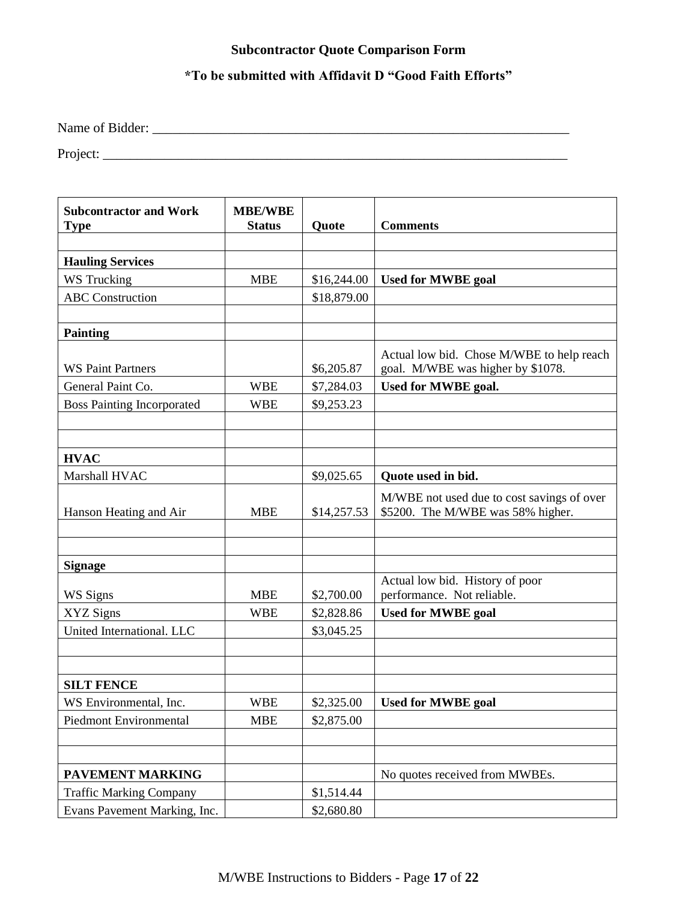# **Subcontractor Quote Comparison Form**

# **\*To be submitted with Affidavit D "Good Faith Efforts"**

Name of Bidder: \_\_\_\_\_\_\_\_\_\_\_\_\_\_\_\_\_\_\_\_\_\_\_\_\_\_\_\_\_\_\_\_\_\_\_\_\_\_\_\_\_\_\_\_\_\_\_\_\_\_\_\_\_\_\_\_\_\_\_\_\_

Project: \_\_\_\_\_\_\_\_\_\_\_\_\_\_\_\_\_\_\_\_\_\_\_\_\_\_\_\_\_\_\_\_\_\_\_\_\_\_\_\_\_\_\_\_\_\_\_\_\_\_\_\_\_\_\_\_\_\_\_\_\_\_\_\_\_\_\_\_

| <b>Subcontractor and Work</b><br><b>Type</b> | <b>MBE/WBE</b><br><b>Status</b> | Quote       | <b>Comments</b>                                                                 |
|----------------------------------------------|---------------------------------|-------------|---------------------------------------------------------------------------------|
|                                              |                                 |             |                                                                                 |
| <b>Hauling Services</b>                      |                                 |             |                                                                                 |
| WS Trucking                                  | <b>MBE</b>                      | \$16,244.00 | <b>Used for MWBE goal</b>                                                       |
| <b>ABC</b> Construction                      |                                 | \$18,879.00 |                                                                                 |
|                                              |                                 |             |                                                                                 |
| <b>Painting</b>                              |                                 |             |                                                                                 |
| <b>WS Paint Partners</b>                     |                                 | \$6,205.87  | Actual low bid. Chose M/WBE to help reach<br>goal. M/WBE was higher by \$1078.  |
| General Paint Co.                            | <b>WBE</b>                      | \$7,284.03  | Used for MWBE goal.                                                             |
| <b>Boss Painting Incorporated</b>            | <b>WBE</b>                      | \$9,253.23  |                                                                                 |
|                                              |                                 |             |                                                                                 |
|                                              |                                 |             |                                                                                 |
| <b>HVAC</b>                                  |                                 |             |                                                                                 |
| Marshall HVAC                                |                                 | \$9,025.65  | Quote used in bid.                                                              |
| Hanson Heating and Air                       | <b>MBE</b>                      | \$14,257.53 | M/WBE not used due to cost savings of over<br>\$5200. The M/WBE was 58% higher. |
|                                              |                                 |             |                                                                                 |
|                                              |                                 |             |                                                                                 |
| <b>Signage</b>                               |                                 |             |                                                                                 |
| WS Signs                                     | <b>MBE</b>                      | \$2,700.00  | Actual low bid. History of poor<br>performance. Not reliable.                   |
| XYZ Signs                                    | <b>WBE</b>                      | \$2,828.86  | <b>Used for MWBE goal</b>                                                       |
| United International. LLC                    |                                 | \$3,045.25  |                                                                                 |
|                                              |                                 |             |                                                                                 |
|                                              |                                 |             |                                                                                 |
| <b>SILT FENCE</b>                            |                                 |             |                                                                                 |
| WS Environmental, Inc.                       | <b>WBE</b>                      | \$2,325.00  | <b>Used for MWBE goal</b>                                                       |
| Piedmont Environmental                       | <b>MBE</b>                      | \$2,875.00  |                                                                                 |
|                                              |                                 |             |                                                                                 |
|                                              |                                 |             |                                                                                 |
| PAVEMENT MARKING                             |                                 |             | No quotes received from MWBEs.                                                  |
| <b>Traffic Marking Company</b>               |                                 | \$1,514.44  |                                                                                 |
| Evans Pavement Marking, Inc.                 |                                 | \$2,680.80  |                                                                                 |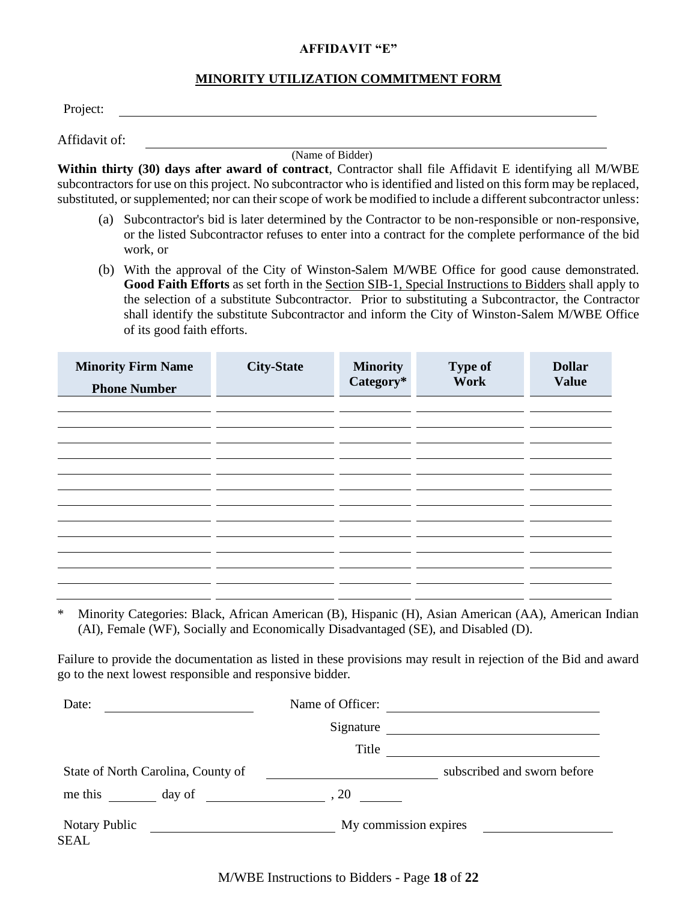#### **AFFIDAVIT "E"**

#### **MINORITY UTILIZATION COMMITMENT FORM**

| Affidavit of: |  |
|---------------|--|

(Name of Bidder)

**Within thirty (30) days after award of contract**, Contractor shall file Affidavit E identifying all M/WBE subcontractors for use on this project. No subcontractor who is identified and listed on this form may be replaced, substituted, or supplemented; nor can their scope of work be modified to include a different subcontractor unless:

- (a) Subcontractor's bid is later determined by the Contractor to be non-responsible or non-responsive, or the listed Subcontractor refuses to enter into a contract for the complete performance of the bid work, or
- (b) With the approval of the City of Winston-Salem M/WBE Office for good cause demonstrated. **Good Faith Efforts** as set forth in the Section SIB-1, Special Instructions to Bidders shall apply to the selection of a substitute Subcontractor. Prior to substituting a Subcontractor, the Contractor shall identify the substitute Subcontractor and inform the City of Winston-Salem M/WBE Office of its good faith efforts.

| <b>Minority Firm Name</b><br><b>Phone Number</b> | <b>City-State</b> | <b>Minority</b><br>Category* | <b>Type of</b><br><b>Work</b> | <b>Dollar</b><br><b>Value</b> |
|--------------------------------------------------|-------------------|------------------------------|-------------------------------|-------------------------------|
|                                                  |                   |                              |                               |                               |
|                                                  |                   |                              |                               |                               |
|                                                  |                   |                              |                               |                               |
|                                                  |                   |                              |                               |                               |
|                                                  |                   |                              |                               |                               |
|                                                  |                   |                              |                               |                               |
|                                                  |                   |                              |                               |                               |
|                                                  |                   |                              |                               |                               |

\* Minority Categories: Black, African American (B), Hispanic (H), Asian American (AA), American Indian (AI), Female (WF), Socially and Economically Disadvantaged (SE), and Disabled (D).

Failure to provide the documentation as listed in these provisions may result in rejection of the Bid and award go to the next lowest responsible and responsive bidder.

| Date:                              | Name of Officer:      |                             |
|------------------------------------|-----------------------|-----------------------------|
|                                    | Signature             |                             |
|                                    | Title                 |                             |
| State of North Carolina, County of |                       | subscribed and sworn before |
| me this<br>day of                  | , 20                  |                             |
| <b>Notary Public</b><br>SEAL       | My commission expires |                             |

M/WBE Instructions to Bidders - Page **18** of **22**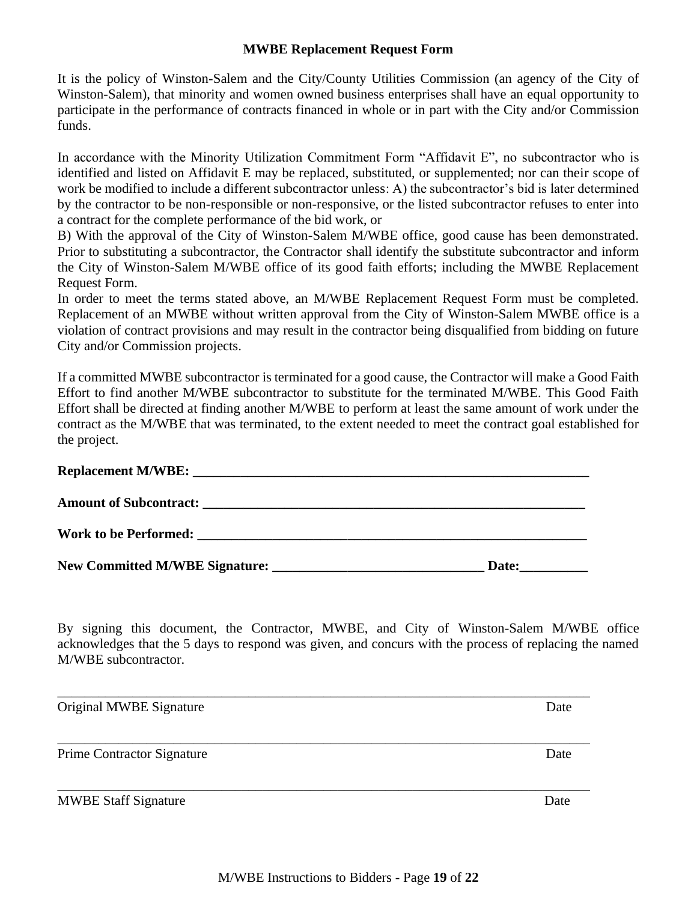#### **MWBE Replacement Request Form**

It is the policy of Winston-Salem and the City/County Utilities Commission (an agency of the City of Winston-Salem), that minority and women owned business enterprises shall have an equal opportunity to participate in the performance of contracts financed in whole or in part with the City and/or Commission funds.

In accordance with the Minority Utilization Commitment Form "Affidavit E", no subcontractor who is identified and listed on Affidavit E may be replaced, substituted, or supplemented; nor can their scope of work be modified to include a different subcontractor unless: A) the subcontractor's bid is later determined by the contractor to be non-responsible or non-responsive, or the listed subcontractor refuses to enter into a contract for the complete performance of the bid work, or

B) With the approval of the City of Winston-Salem M/WBE office, good cause has been demonstrated. Prior to substituting a subcontractor, the Contractor shall identify the substitute subcontractor and inform the City of Winston-Salem M/WBE office of its good faith efforts; including the MWBE Replacement Request Form.

In order to meet the terms stated above, an M/WBE Replacement Request Form must be completed. Replacement of an MWBE without written approval from the City of Winston-Salem MWBE office is a violation of contract provisions and may result in the contractor being disqualified from bidding on future City and/or Commission projects.

If a committed MWBE subcontractor is terminated for a good cause, the Contractor will make a Good Faith Effort to find another M/WBE subcontractor to substitute for the terminated M/WBE. This Good Faith Effort shall be directed at finding another M/WBE to perform at least the same amount of work under the contract as the M/WBE that was terminated, to the extent needed to meet the contract goal established for the project.

| New Committed M/WBE Signature: | Date: |
|--------------------------------|-------|

By signing this document, the Contractor, MWBE, and City of Winston-Salem M/WBE office acknowledges that the 5 days to respond was given, and concurs with the process of replacing the named M/WBE subcontractor.

| Original MWBE Signature           | Date |
|-----------------------------------|------|
| <b>Prime Contractor Signature</b> | Date |
| <b>MWBE Staff Signature</b>       | Date |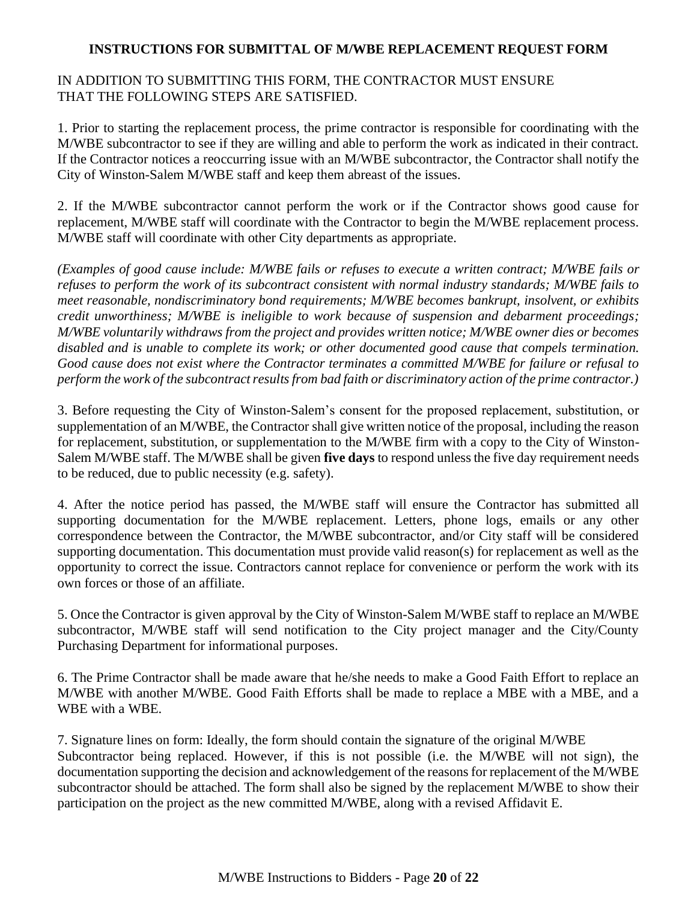### **INSTRUCTIONS FOR SUBMITTAL OF M/WBE REPLACEMENT REQUEST FORM**

## IN ADDITION TO SUBMITTING THIS FORM, THE CONTRACTOR MUST ENSURE THAT THE FOLLOWING STEPS ARE SATISFIED.

1. Prior to starting the replacement process, the prime contractor is responsible for coordinating with the M/WBE subcontractor to see if they are willing and able to perform the work as indicated in their contract. If the Contractor notices a reoccurring issue with an M/WBE subcontractor, the Contractor shall notify the City of Winston-Salem M/WBE staff and keep them abreast of the issues.

2. If the M/WBE subcontractor cannot perform the work or if the Contractor shows good cause for replacement, M/WBE staff will coordinate with the Contractor to begin the M/WBE replacement process. M/WBE staff will coordinate with other City departments as appropriate.

*(Examples of good cause include: M/WBE fails or refuses to execute a written contract; M/WBE fails or refuses to perform the work of its subcontract consistent with normal industry standards; M/WBE fails to meet reasonable, nondiscriminatory bond requirements; M/WBE becomes bankrupt, insolvent, or exhibits credit unworthiness; M/WBE is ineligible to work because of suspension and debarment proceedings; M/WBE voluntarily withdraws from the project and provides written notice; M/WBE owner dies or becomes disabled and is unable to complete its work; or other documented good cause that compels termination. Good cause does not exist where the Contractor terminates a committed M/WBE for failure or refusal to perform the work of the subcontract results from bad faith or discriminatory action of the prime contractor.)*

3. Before requesting the City of Winston-Salem's consent for the proposed replacement, substitution, or supplementation of an M/WBE, the Contractor shall give written notice of the proposal, including the reason for replacement, substitution, or supplementation to the M/WBE firm with a copy to the City of Winston-Salem M/WBE staff. The M/WBE shall be given **five days** to respond unless the five day requirement needs to be reduced, due to public necessity (e.g. safety).

4. After the notice period has passed, the M/WBE staff will ensure the Contractor has submitted all supporting documentation for the M/WBE replacement. Letters, phone logs, emails or any other correspondence between the Contractor, the M/WBE subcontractor, and/or City staff will be considered supporting documentation. This documentation must provide valid reason(s) for replacement as well as the opportunity to correct the issue. Contractors cannot replace for convenience or perform the work with its own forces or those of an affiliate.

5. Once the Contractor is given approval by the City of Winston-Salem M/WBE staff to replace an M/WBE subcontractor, M/WBE staff will send notification to the City project manager and the City/County Purchasing Department for informational purposes.

6. The Prime Contractor shall be made aware that he/she needs to make a Good Faith Effort to replace an M/WBE with another M/WBE. Good Faith Efforts shall be made to replace a MBE with a MBE, and a WBE with a WBE.

7. Signature lines on form: Ideally, the form should contain the signature of the original M/WBE Subcontractor being replaced. However, if this is not possible (i.e. the M/WBE will not sign), the documentation supporting the decision and acknowledgement of the reasons for replacement of the M/WBE subcontractor should be attached. The form shall also be signed by the replacement M/WBE to show their participation on the project as the new committed M/WBE, along with a revised Affidavit E.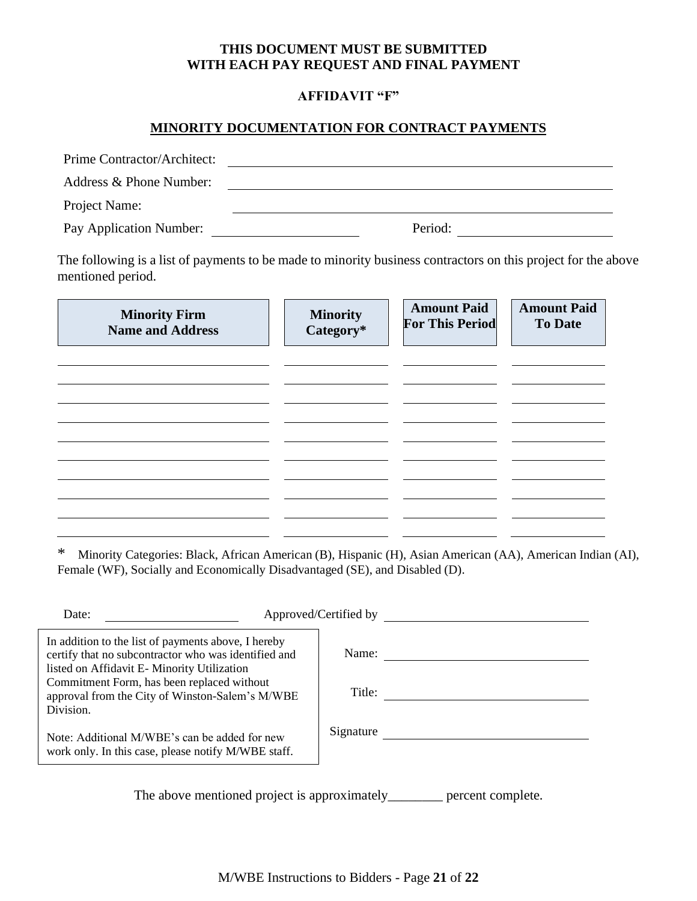## **THIS DOCUMENT MUST BE SUBMITTED WITH EACH PAY REQUEST AND FINAL PAYMENT**

## **AFFIDAVIT "F"**

## **MINORITY DOCUMENTATION FOR CONTRACT PAYMENTS**

| Prime Contractor/Architect: |         |
|-----------------------------|---------|
| Address & Phone Number:     |         |
| Project Name:               |         |
| Pay Application Number:     | Period: |

The following is a list of payments to be made to minority business contractors on this project for the above mentioned period.

| <b>Minority Firm</b><br><b>Name and Address</b> | <b>Minority</b><br>Category* | <b>Amount Paid</b><br><b>For This Period</b> | <b>Amount Paid</b><br><b>To Date</b> |
|-------------------------------------------------|------------------------------|----------------------------------------------|--------------------------------------|
|                                                 |                              |                                              |                                      |
|                                                 |                              |                                              |                                      |
|                                                 |                              |                                              |                                      |
|                                                 |                              |                                              |                                      |
|                                                 |                              |                                              |                                      |

\* Minority Categories: Black, African American (B), Hispanic (H), Asian American (AA), American Indian (AI), Female (WF), Socially and Economically Disadvantaged (SE), and Disabled (D).

| Date:                                                                                                                                                    | Approved/Certified by |  |
|----------------------------------------------------------------------------------------------------------------------------------------------------------|-----------------------|--|
| In addition to the list of payments above, I hereby<br>certify that no subcontractor who was identified and                                              | Name:                 |  |
| listed on Affidavit E-Minority Utilization<br>Commitment Form, has been replaced without<br>approval from the City of Winston-Salem's M/WBE<br>Division. | Title:                |  |
| Note: Additional M/WBE's can be added for new<br>work only. In this case, please notify M/WBE staff.                                                     | Signature             |  |
|                                                                                                                                                          |                       |  |

The above mentioned project is approximately\_\_\_\_\_\_\_\_ percent complete.